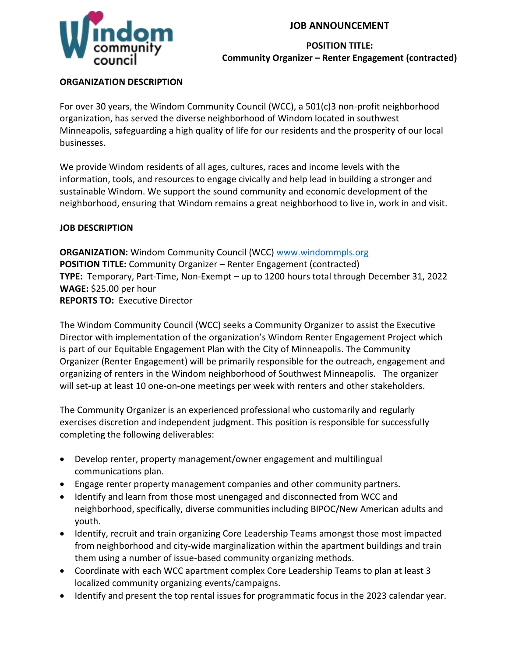## **JOB ANNOUNCEMENT**



### **POSITION TITLE: Community Organizer – Renter Engagement (contracted)**

## **ORGANIZATION DESCRIPTION**

For over 30 years, the Windom Community Council (WCC), a 501(c)3 non-profit neighborhood organization, has served the diverse neighborhood of Windom located in southwest Minneapolis, safeguarding a high quality of life for our residents and the prosperity of our local businesses.

We provide Windom residents of all ages, cultures, races and income levels with the information, tools, and resources to engage civically and help lead in building a stronger and sustainable Windom. We support the sound community and economic development of the neighborhood, ensuring that Windom remains a great neighborhood to live in, work in and visit.

### **JOB DESCRIPTION**

**ORGANIZATION:** Windom Community Council (WCC) [www.windommpls.org](http://www.windommpls.org/) **POSITION TITLE:** Community Organizer – Renter Engagement (contracted) **TYPE:** Temporary, Part-Time, Non-Exempt – up to 1200 hours total through December 31, 2022 **WAGE:** \$25.00 per hour **REPORTS TO:** Executive Director

The Windom Community Council (WCC) seeks a Community Organizer to assist the Executive Director with implementation of the organization's Windom Renter Engagement Project which is part of our Equitable Engagement Plan with the City of Minneapolis. The Community Organizer (Renter Engagement) will be primarily responsible for the outreach, engagement and organizing of renters in the Windom neighborhood of Southwest Minneapolis. The organizer will set-up at least 10 one-on-one meetings per week with renters and other stakeholders.

The Community Organizer is an experienced professional who customarily and regularly exercises discretion and independent judgment. This position is responsible for successfully completing the following deliverables:

- Develop renter, property management/owner engagement and multilingual communications plan.
- Engage renter property management companies and other community partners.
- Identify and learn from those most unengaged and disconnected from WCC and neighborhood, specifically, diverse communities including BIPOC/New American adults and youth.
- Identify, recruit and train organizing Core Leadership Teams amongst those most impacted from neighborhood and city-wide marginalization within the apartment buildings and train them using a number of issue-based community organizing methods.
- Coordinate with each WCC apartment complex Core Leadership Teams to plan at least 3 localized community organizing events/campaigns.
- Identify and present the top rental issues for programmatic focus in the 2023 calendar year.